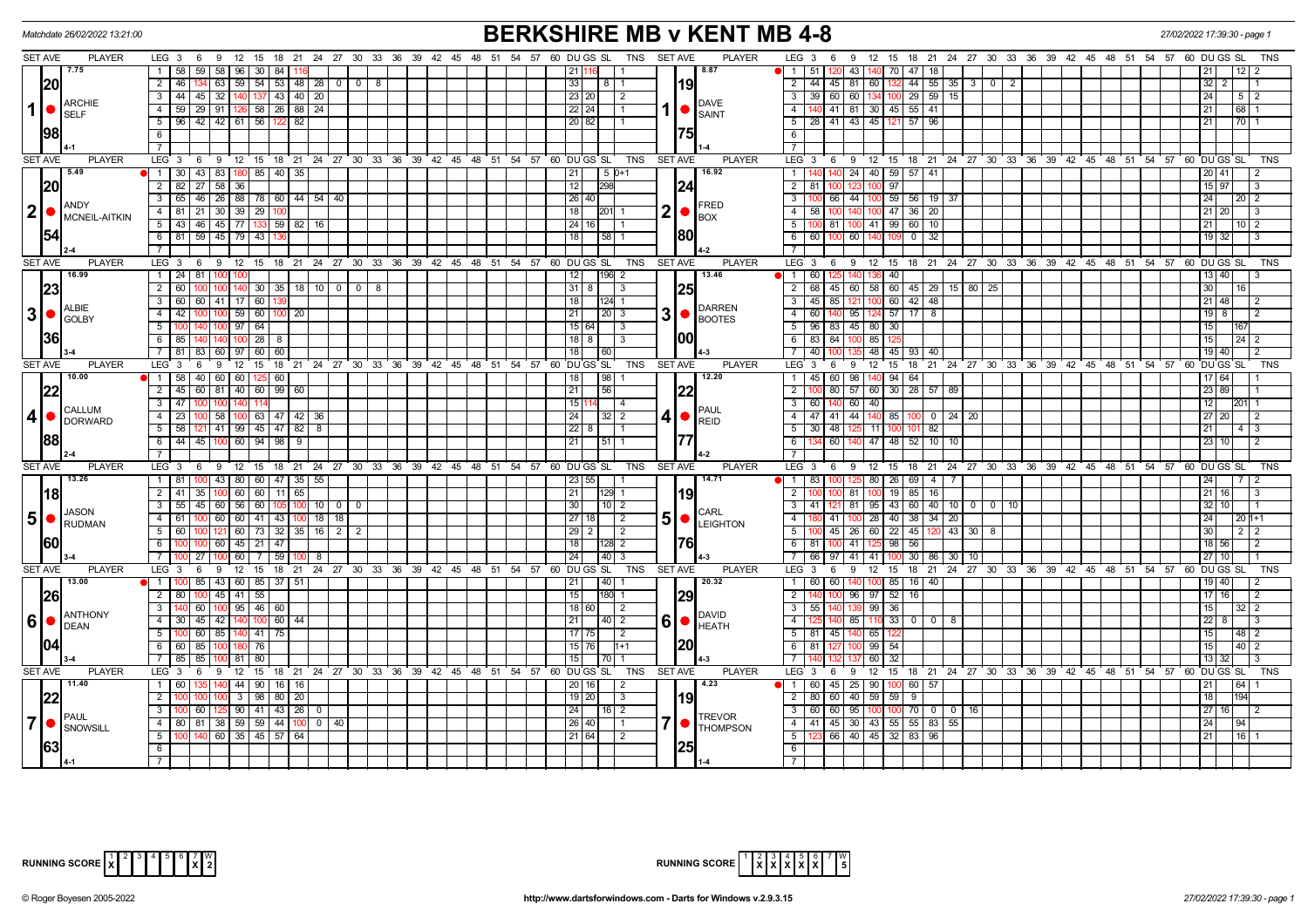| Matchdate 26/02/2022 13:21:00                             |                                                                                                             | <b>BERKSHIRE MB v KENT MB 4-8</b>                                               | 27/02/2022 17:39:30 - page                                                                                                |                                |  |  |  |
|-----------------------------------------------------------|-------------------------------------------------------------------------------------------------------------|---------------------------------------------------------------------------------|---------------------------------------------------------------------------------------------------------------------------|--------------------------------|--|--|--|
| <b>SET AVE</b><br><b>PLAYER</b>                           | LEG 3 6 9 12 15 18 21 24 27 30 33 36 39 42 45 48 51 54 57 60 DUGS SL                                        | TNS SET AVE<br><b>PLAYER</b>                                                    | LEG 3 6 9 12 15 18 21 24 27 30 33 36 39 42 45 48 51 54 57 60 DUGS SL                                                      | TNS                            |  |  |  |
| 7.75                                                      | 59 58 96 30 84<br>1   58                                                                                    | 8.87<br>21                                                                      | 43 140 70 47 18<br>1 51                                                                                                   |                                |  |  |  |
| 20                                                        | $54$ 53 48<br>$2 \mid 46$<br>134 63 59<br>$28$ 0 0 0<br>8                                                   | l19l<br>33                                                                      | $\overline{2}$<br>44 45 81 60 132<br>$44$ 55 35 3 0<br>$\overline{2}$                                                     | 32   2                         |  |  |  |
| <b>ARCHIE</b>                                             | $3 \mid 44 \mid$<br>137 43 40 20<br>45 32 140                                                               | 23 20<br>2<br>DAVE                                                              | 3 <sup>1</sup><br>39 60 60 134 100 29 59 15                                                                               | 24<br>512                      |  |  |  |
| $\vert$<br><b>SELF</b>                                    | 29   91   126   58   26   88   24  <br>4   59                                                               | $1  \bullet  _{SAINT}$<br>$22$   24                                             | 4   140   41   81   30   45   55   41                                                                                     | 68  1<br>21                    |  |  |  |
|                                                           | $5$   96   42   42   61   56   122   82                                                                     | 20 82                                                                           | 5   28   41   43   45   121   57   96                                                                                     | $\overline{70}$ 1<br>211       |  |  |  |
| 98                                                        | 6                                                                                                           | 75                                                                              | 6                                                                                                                         |                                |  |  |  |
|                                                           | $\overline{7}$                                                                                              |                                                                                 | $\overline{7}$                                                                                                            |                                |  |  |  |
| SET AVE<br><b>PLAYER</b>                                  | LEG <sup>3</sup><br>6 9 12 15 18 21 24 27 30 33 36 39 42 45 48 51 54 57 60 DUGS SL                          | TNS<br><b>SET AVE</b><br><b>PLAYER</b>                                          | $LEG \ 3$<br>9 12 15 18 21 24 27 30 33 36 39 42 45 48 51 54 57 60 DUGS SL<br>6                                            | <b>TNS</b>                     |  |  |  |
| 5.49                                                      | 1   30   43   83   180   85   40   35                                                                       | 16.92<br>$15D+1$<br> 21                                                         | 140 140 24 40 59 57 41<br>$\overline{1}$                                                                                  | 20 41                          |  |  |  |
| 20                                                        | $2$ 82<br>27 58 36                                                                                          | 12<br>298<br> 24                                                                | $2 \mid 81$<br>123<br>$\overline{97}$                                                                                     | $15 \mid 97$<br>IЗ             |  |  |  |
| <b>ANDY</b>                                               | 3 65 46 26 88 78 60 44 54 40                                                                                | 26 40<br>FRED                                                                   | 100 66 44 100 59 56 19 37<br>$\overline{\phantom{a}3}$                                                                    | $24 \mid$<br>  20   2          |  |  |  |
| $ 2  \bullet  ^\text{ANDY}_{\text{MCNEIL-AITKIN}}$        | 4   81   21   30   39   29   100                                                                            | $2  \bullet  $<br>18<br>201<br><b>BOX</b>                                       | 140 100 47 36 20<br>4<br>58 100                                                                                           | $21$   20  <br>$\overline{13}$ |  |  |  |
|                                                           | 5 43 46 45 77 133 59 82 16<br>$6$ 81 59 45 79 43                                                            | 24   16  <br> 80                                                                | $5\sqrt{ }$<br>100 41 99 60 10<br>100.81                                                                                  | 21 L<br>10 2                   |  |  |  |
| 154                                                       |                                                                                                             | 18<br>58                                                                        | 6<br>60 14<br>$0$ 32<br>60 100<br>$\overline{7}$                                                                          | $19$ 32                        |  |  |  |
| <b>SET AVE</b><br><b>PLAYER</b>                           | LEG <sub>3</sub><br>$9 \t12$<br>15 18 21 24 27 30<br>33 36 39 42 45 48 51<br>6                              | 54 57 60 DU GS SL<br>TNS<br>SET AVE<br><b>PLAYER</b>                            | LEG 3<br>$12 \quad 15$<br>18 21 24 27 30 33 36 39 42 45 48 51 54 57 60 DUGS SL<br>- 6<br>9                                | <b>TNS</b>                     |  |  |  |
| 16.99                                                     | 1 24 81 100 100                                                                                             | 13.46<br>12<br>$196$ 2                                                          | $1 \overline{60}$<br>140 <sup>1</sup><br>40                                                                               | 13   40                        |  |  |  |
| 23                                                        | $2 \mid 60$<br>$30 \mid 35 \mid 18 \mid 10 \mid 0 \mid 0 \mid 8$                                            | 25 <br>$31 \mid 8 \mid$<br>3                                                    | 2 68 45 60 58 60 45 29 15 80 25                                                                                           | 30                             |  |  |  |
|                                                           | 3   60   60   41   17   60   13                                                                             | 18 <br>$124 - 1$                                                                | $3   45   85   121   100   60   42   48$                                                                                  | $21$ 48<br>l 2                 |  |  |  |
| <b>ALBIE</b><br>3 •                                       | 100 59 60 100 20<br>$4 \mid 42$                                                                             | <b>DARREN</b><br>3 <sup>1</sup><br>21<br>  20   3                               | 4<br>60 140<br>95 124 57 17 8                                                                                             | $19$   8                       |  |  |  |
| <b>GOLBY</b>                                              | 64<br>$5 \, 100$<br>$100$ 97<br>140 I                                                                       | $\log_{\text{BOOTES}}$<br>15 64 <br>- 3                                         | 5 96 83 45 80 30                                                                                                          | 15 <sup>1</sup>                |  |  |  |
| 36                                                        | 140 140 100 28 8<br>$6 \mid 85$                                                                             | 00 <br>$18$ 8<br>l 3                                                            | 6<br>83 84<br>100 85 125                                                                                                  | $24$   2<br>15 <sup>1</sup>    |  |  |  |
|                                                           | 83 60 97 60 60<br>7   81                                                                                    | 18 <sup>1</sup><br>  60                                                         | 40 1<br>48 45<br>- 7 I<br>93 40                                                                                           | 19   40                        |  |  |  |
| <b>SET AVE</b><br><b>PLAYER</b>                           | LEG <sub>3</sub><br>6 9 12 15 18 21 24 27 30 33 36 39 42 45 48 51 54 57 60 DUGS SL                          | TNS<br><b>SET AVE</b><br><b>PLAYER</b>                                          | $LEG_36$<br>9 12 15 18 21 24 27 30 33 36 39 42 45 48 51 54 57 60 DUGS SL                                                  | TNS                            |  |  |  |
| 10.00                                                     | $1 \mid 58$<br>40 60 60<br>60<br>125 I                                                                      | 12.20<br>98<br>18                                                               | 98 140 94 64<br>1 45 60                                                                                                   | 17 64                          |  |  |  |
| 22                                                        | $2 \mid 45$<br>60 81 40 60 99 60                                                                            | 22 <br>21<br>56                                                                 | $\overline{2}$<br>57 60 30 28 57 89<br>80                                                                                 | 23 89                          |  |  |  |
| CALLUM                                                    | $3 \mid 47$                                                                                                 | 15<br>IPAUL                                                                     | 60 140 60 40<br>3 <sup>1</sup>                                                                                            | 12 <sub>1</sub><br> 201  1     |  |  |  |
| $\overline{4}$<br><b>DORWARD</b>                          | 100 58 100 63 47 42 36<br>$4 \mid 23$                                                                       | 24 <br>$4 • $ REID<br>32 I 2                                                    | 4 47 41 44 140 85<br>$100$ 0 24 20                                                                                        | 27   20  <br>$\overline{2}$    |  |  |  |
|                                                           | $5 \mid 58 \mid$<br>121 41 99 45 47 82<br>-8                                                                | 22 8                                                                            | 5 <sup>1</sup><br>30 48<br>125 11 100<br>101 82                                                                           | 211<br>4 I 3                   |  |  |  |
| <b>88</b>                                                 | 6   44   45   100   60   94   98   9                                                                        | 177<br>  21  <br>l 51                                                           | 6<br>$-60$<br>140 47 48 52 10 10                                                                                          | 23   10  <br>l 2               |  |  |  |
|                                                           | $\overline{7}$                                                                                              |                                                                                 | $\overline{7}$                                                                                                            |                                |  |  |  |
| <b>SET AVE</b><br><b>PLAYER</b>                           | $LEG \ 3$<br>9<br>ີ 12<br>15 18 21 24 27 30<br>33<br>36<br>$39 \quad 42$<br>$45 \quad 48$<br>- 6            | <b>PLAYER</b><br>51<br>54 57<br>60 DU GS SL<br><b>TNS</b><br><b>SET AVE</b>     | $LEG \ 3$<br>6<br>12 15 18 21 24 27 30 33 36<br>39 42 45 48 51 54 57<br>- 9                                               | 60 DU GS SL<br>TNS             |  |  |  |
| 13.26                                                     | 1   81   100   43   80   60   47   35  <br>55                                                               | 14.71<br>  23   55                                                              | $125 \t80 \t26 \t69 \t4$<br>1 83 100                                                                                      | 24                             |  |  |  |
| <u> 18</u>                                                | 60   11   65<br>$2 \mid 41 \mid$<br>35   100   60                                                           | 21<br> 19                                                                       | $85$ 16<br>$\overline{2}$<br>81<br>19                                                                                     | $21$ 16<br>IЗ                  |  |  |  |
| JASON                                                     | 45 60 56<br>60<br>$10$ 0<br>$3 \mid 55 \mid$<br>- 0<br>$18$ 18<br>$4 \mid 61 \mid$<br>$100$ 60 60 41 43 100 | 30<br>$10$   2<br><b>CARL</b><br>27 18                                          | $\overline{3}$<br>81   95   43   60   40   10   0   0   10<br>41<br>$100$ 28 40 38 34 20<br>$-4$<br>$-41$                 | 32 10<br>24 I                  |  |  |  |
| 5 <sup>1</sup><br>$\bigcap_{\mathsf{RUDMAN}}$             | $5 \ 60$<br>100 121 60 73 32 35 16 2 2                                                                      | 5 <sub>1</sub><br>$\sqrt{2}$<br><b>O</b> LEIGHTON<br>  29   2<br>$\overline{2}$ | 45   26   60   22   45   120   43   30   8<br>$5\sqrt{2}$                                                                 | 20   1+1<br>30<br>  2   2      |  |  |  |
| 60                                                        | 6<br>60 45 21 47<br>100 I                                                                                   | 761<br>18<br>128 2                                                              | 6<br>$-56$<br>41<br>81<br>98                                                                                              | $18$ 56                        |  |  |  |
|                                                           | 7 I<br>27<br>  60<br>7 I<br>59<br>8                                                                         | 24<br>40 I<br>-3                                                                | $\begin{array}{ c c c c c c c c c } \hline 00 & 30 & 86 & 30 & 10 \\ \hline \end{array}$<br>$\overline{7}$<br>66<br>41 41 | 27   10                        |  |  |  |
| <b>SET AVE</b><br><b>PLAYER</b>                           | 15 18 21 24 27 30 33 36 39 42 45 48 51 54 57 60 DUGS SL<br>LEG <sup>3</sup><br>6<br>9<br>$^{\circ}$ 12      | <b>PLAYER</b><br>TNS<br>SET AVE                                                 | 18 21 24 27 30 33 36 39 42 45 48 51 54 57 60 DUGS SL<br>LEG 3<br>9<br>$12 \quad 15$<br>6                                  | <b>TNS</b>                     |  |  |  |
| 13.00                                                     | 11100<br>85 43 60 85 37 51                                                                                  | 20.32<br> 40 <br>21                                                             | $16 \mid 40$<br>1 60 60<br>140 100 85                                                                                     | 19 40                          |  |  |  |
| 26                                                        | $2 \mid 80$<br>$45$ 41 55<br>100 <sub>l</sub>                                                               | 29 <br>15<br>180                                                                | $96$ $97$ $52$<br>$\overline{2}$<br>16                                                                                    | 17   16  <br>l 2               |  |  |  |
|                                                           | 3   140   60   100   95   46   60                                                                           | 18 60<br>$\sqrt{2}$                                                             | $\overline{\phantom{a}3}$<br>55 140<br>139 99 36                                                                          | 15<br>32 2                     |  |  |  |
| <b>ANTHONY</b><br>$ 6  \bullet  _{\sf DEAN}^{\sf AN HRL}$ | $100$ 60 $44$<br>4 30 45 42 140                                                                             | <b>DAVID</b><br>61<br>21<br>40 2<br>$\bullet$ HEATH                             | 85 110 33 0 0 8<br>$-4$                                                                                                   | 2218                           |  |  |  |
|                                                           | $60$ 85 140<br>$5\vert$<br>$41$ 75                                                                          | $17$ 75<br>$\overline{2}$                                                       | $5 \ 81 \ 45$<br>140 I<br>65                                                                                              | 15 I<br> 48  2                 |  |  |  |
|                                                           | $6 \mid 60$<br>85<br>76                                                                                     | 20 <br>$15$ 76<br>$H + 1$                                                       | 6 81<br>99 54<br>100                                                                                                      | 15 <sub>l</sub><br>40 2        |  |  |  |
|                                                           | 85<br>$7 \mid 85$<br>80<br>  81                                                                             | 15                                                                              | 60<br>$\overline{7}$<br>32                                                                                                | 13 32                          |  |  |  |
| <b>SET AVE</b><br><b>PLAYER</b>                           | LEG <sub>3</sub><br>6 9 12 15 18 21 24 27 30 33 36 39 42 45 48 51 54 57 60 DUGS SL                          | TNS SET AVE<br><b>PLAYER</b>                                                    | LEG 3 6 9 12 15 18 21 24 27 30 33 36 39 42 45 48 51 54 57 60 DUGS SL TNS                                                  |                                |  |  |  |
| 11.40                                                     | 44 90 16 16<br>1 60                                                                                         | 4.23<br>20161<br>2                                                              | 1 60 45 25 90<br>00 60 57                                                                                                 | 211                            |  |  |  |
| 22                                                        | $100 \mid 3 \mid 98 \mid 80 \mid 20$<br>$2 \mid 100$                                                        | l19l<br>$19$ 20<br>3                                                            | 80 60 40 59 59 9<br>2                                                                                                     | 18                             |  |  |  |
| PAUL                                                      | 125 90 41 43 26<br>3 <sup>1</sup><br>60<br>$\mathbf 0$                                                      | 24<br>$16$   2<br><b>TREVOR</b>                                                 | $\overline{\mathbf{3}}$<br>60 60 95<br>70 0 0 16<br>100                                                                   | 27   16                        |  |  |  |
| $\overline{7}$<br>SNOWSILL                                | 81 38 59 59 44 100<br>4 80<br>$0 \mid 40 \mid$                                                              | 26 40<br><b>THOMPSON</b>                                                        | 4 41 45 30 43 55 55 83 55                                                                                                 | $24 \mid$<br> 94               |  |  |  |
|                                                           | $5 \mid 100 \mid 140 \mid 60 \mid 35 \mid 45 \mid 57 \mid 64$                                               | 21 64 <br>$\sqrt{2}$                                                            | 5 123 66 40 45 32 83 96                                                                                                   | 21<br> 16 1                    |  |  |  |
| 1631                                                      | 6 <sup>1</sup>                                                                                              | 25                                                                              | 6                                                                                                                         |                                |  |  |  |
|                                                           | 7 <sup>1</sup>                                                                                              |                                                                                 | $\overline{7}$                                                                                                            |                                |  |  |  |

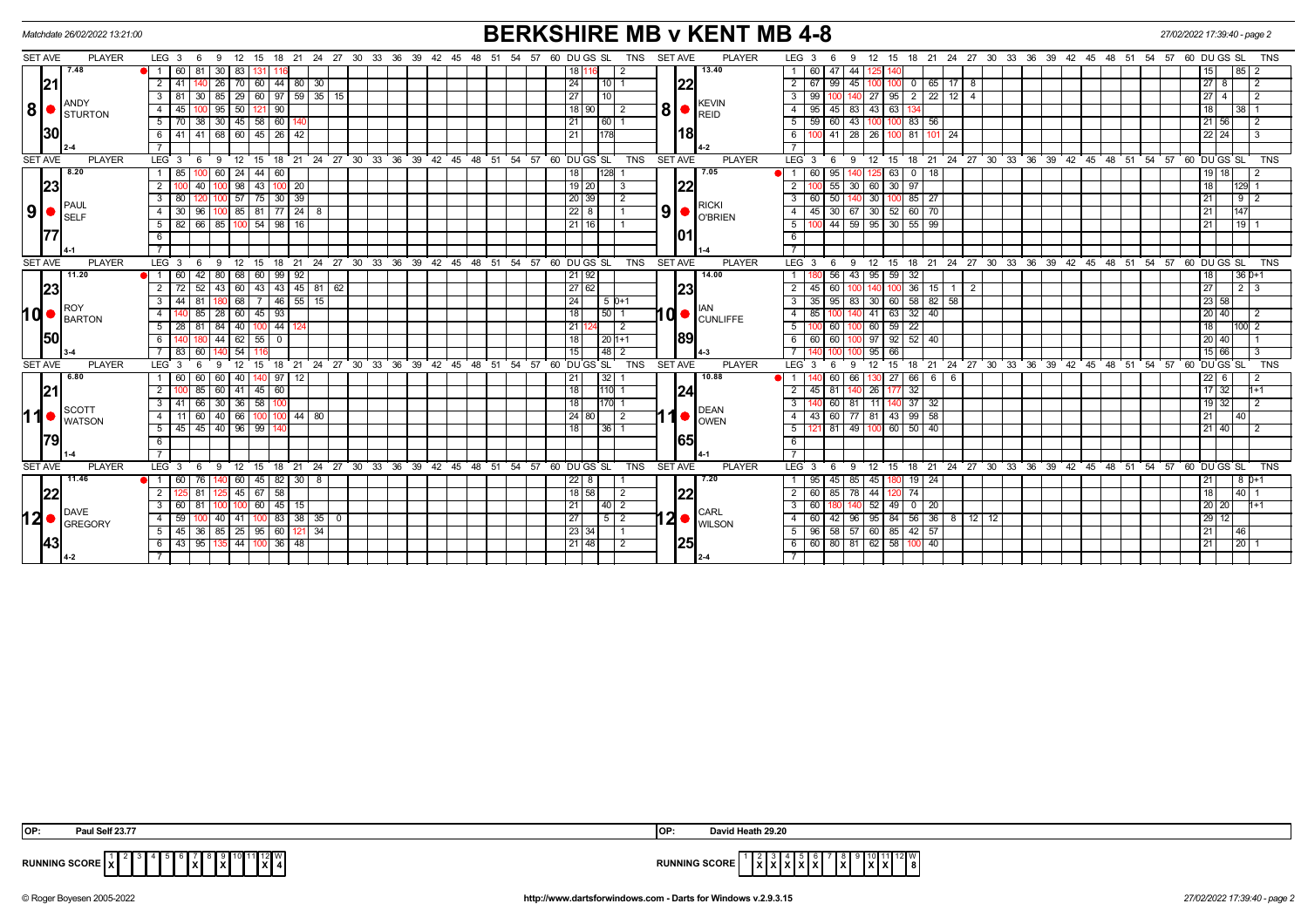| <b>BERKSHIRE MB v KENT MB 4-8</b><br>Matchdate 26/02/2022 13:21:00<br>27/02/2022 17:39:40 - page 2 |                               |                                              |                             |                                                              |                                                |                    |          |                                 |          |    |                   |                |                |                                                |                                                                                                                                |
|----------------------------------------------------------------------------------------------------|-------------------------------|----------------------------------------------|-----------------------------|--------------------------------------------------------------|------------------------------------------------|--------------------|----------|---------------------------------|----------|----|-------------------|----------------|----------------|------------------------------------------------|--------------------------------------------------------------------------------------------------------------------------------|
| <b>SET AVE</b>                                                                                     | <b>PLAYER</b>                 | LEG <sub>3</sub><br>6<br>-9                  | 12 <sup>2</sup><br>18<br>15 | 27<br>- 21<br>-24                                            | 30                                             | 33 36<br>39        | 42<br>45 | -48<br>-51                      | 57<br>54 |    | 60 DU GS SL       | TNS            | <b>SET AVE</b> | <b>PLAYER</b>                                  | LEG <sub>3</sub><br>21 24<br>27 30 33<br>36 39<br>42 45 48 51<br>54 57<br>12<br>18<br>60 DU GS SL<br><b>TNS</b><br>-6<br>15    |
|                                                                                                    | 7.48                          | $\sqrt{60}$<br>81<br>  30   83               | 131                         |                                                              |                                                |                    |          |                                 |          |    | 18 116            | 2              |                | 13.40                                          | 1 60<br>47 44<br>15<br> 85 2<br>125                                                                                            |
| 21                                                                                                 |                               | $2 \mid 41$<br>$26$   70   60                |                             | 44 80 <br> 30                                                |                                                |                    |          |                                 |          |    | 24<br>  10   1    |                | 22             |                                                | $27$   8<br>$2 \mid 67$<br>99<br>0 0 65 17 8<br>$\sqrt{2}$<br>45<br>100                                                        |
|                                                                                                    | ANDY                          | $3 \mid 81$                                  |                             | $30 \mid 85 \mid 29 \mid 60 \mid 97 \mid 59 \mid 35 \mid 15$ |                                                |                    |          |                                 |          |    | 27<br>10          |                |                |                                                | 27 95 2 22 12 4<br>$27$   4<br>$3 \mid 99$<br>$\overline{2}$                                                                   |
| 8 <sup>1</sup>                                                                                     | STURTON                       | $95$ 50 121<br>4   45                        | 90                          |                                                              |                                                |                    |          |                                 |          |    | 18 90             | $\overline{2}$ | 8              | <b>KEVIN</b><br>$\bigcap_{R \in \mathbb{D}}$   | 43 63 1<br>$4 \mid 95$<br>$45 \mid 83$<br>18<br>38   1                                                                         |
|                                                                                                    |                               | 5   70   38   30   45   58   60   140        |                             |                                                              |                                                |                    |          |                                 |          |    | 21<br> 60         |                |                |                                                | $5 \ 59$<br>60 43<br>100 83 56<br>$21$ 56<br>100 <sub>1</sub><br>$\vert$ 2                                                     |
| 30                                                                                                 |                               | [41 68 60 45 26 42<br>6   41                 |                             |                                                              |                                                |                    |          |                                 |          | 21 | 178               |                | 18             |                                                | $\overline{26}$<br>6<br>$41 \overline{\smash{)}28}$<br>100 81 101 24<br>$22$ 24<br>3                                           |
|                                                                                                    |                               |                                              |                             |                                                              |                                                |                    |          |                                 |          |    |                   |                |                |                                                |                                                                                                                                |
| <b>SET AVE</b>                                                                                     | <b>PLAYER</b>                 | $LEG_3$<br>12 <sup>1</sup><br>- 9<br>- 6     | 15                          | 18 21 24 27 30 33 36 39 42 45 48 51 54 57 60 DUGS SL         |                                                |                    |          |                                 |          |    |                   | TNS            | <b>SET AVE</b> | <b>PLAYER</b>                                  | $LEG \ 3$<br>18 21 24 27 30 33 36 39<br>$42$ 45 48 51 54 57<br>60 DUGS SL<br><b>TNS</b><br>12 15<br>- 6<br>- 9                 |
|                                                                                                    | 8.20                          | $\sqrt{60}$<br>1 85                          | 24<br>44<br>60              |                                                              |                                                |                    |          |                                 |          |    | 128 <br>18        |                |                | 7.05                                           | 95<br>63<br>18<br>$19$   18<br>60<br>$\overline{2}$<br>$\circ$                                                                 |
| 23                                                                                                 |                               | $\overline{2}$<br>40                         | $98 \mid 43$                | $100$ 20                                                     |                                                |                    |          |                                 |          |    | $19$ 20           | 3              | 22             |                                                | 60<br>$\overline{2}$<br>55<br>30   97<br>18<br>$129$ 1<br>30                                                                   |
|                                                                                                    | <b>PAUL</b>                   | $3 \mid 80$                                  | $100$ 57 75 30 39           |                                                              |                                                |                    |          |                                 |          |    | $\sqrt{20}$ 39    | 2              |                | <b>RICKI</b>                                   | 30<br>50<br>$100$ 85 $27$<br>21<br>$\mathbf{3}$<br>60<br>$9$   2                                                               |
| 9 <sup>1</sup>                                                                                     | <b>SELF</b>                   | 30<br>96<br>4 I                              | 85 81                       | $77$   24<br>8                                               |                                                |                    |          |                                 |          |    | $\overline{22}$ 8 |                | 9 <sup>1</sup> | O O'BRIEN                                      | 30<br>70<br>$-45$<br>$30 \mid 67$<br>$-60$<br>21<br>$\overline{4}$<br>52<br>147                                                |
|                                                                                                    |                               | $66$ 85 100 54 98 16<br>$5 \mid 82 \mid$     |                             |                                                              |                                                |                    |          |                                 |          |    | 21116             |                |                |                                                | 44 59 95 30 55 99<br>5<br>21<br>$\overline{19}$                                                                                |
| 177                                                                                                |                               | 6                                            |                             |                                                              |                                                |                    |          |                                 |          |    |                   |                | 101            |                                                | 6                                                                                                                              |
|                                                                                                    |                               |                                              |                             |                                                              |                                                |                    |          |                                 |          |    |                   |                |                |                                                |                                                                                                                                |
| <b>SET AVE</b>                                                                                     | <b>PLAYER</b><br>11.20        | $LEG_3$<br>12<br>9<br>6<br>$42 \mid 80 \mid$ | 15                          | 18 21                                                        | 24 27 30 33 36 39 42 45 48 51 54 57 60 DUGS SL |                    |          |                                 |          |    |                   | TNS            | <b>SET AVE</b> | <b>PLAYER</b><br>14.00                         | LEG <sup>3</sup><br>18 21 24 27 30 33 36 39 42 45 48 51 54 57<br>60 DUGS SL<br><b>TNS</b><br>6<br>$12 \quad 15$<br>9           |
|                                                                                                    |                               | $\bullet$ 1 60<br>52<br>43<br>2<br>72        | 68<br>60<br>60<br>43<br>43  | $99 \mid 92$<br> 45 <br>$81$ 62                              |                                                |                    |          |                                 |          |    | 21   92<br>27 62  |                | 23             |                                                | 56<br>95<br>59 32<br>$36D+1$<br>43<br>18<br>36<br>15<br>27<br>$2 \mid 3$<br>$\overline{2}$<br>45<br>60                         |
|                                                                                                    | 23                            | 3 <sup>1</sup><br>44<br>81                   | 68<br>7                     | 15 <br>$46$ 55                                               |                                                |                    |          |                                 |          |    | 24                | $15D+1$        |                |                                                | 35<br>30<br>60 58 82 58<br>23 58<br>95 83<br>3 <sup>1</sup>                                                                    |
| <b>hd</b>                                                                                          | <b>ROY</b>                    | 85<br>28<br>$\overline{4}$                   | 60<br>45<br>93              |                                                              |                                                |                    |          |                                 |          |    | 18<br>50          |                |                | IAN                                            | 41<br>32<br>40<br>20 40<br>85<br>63<br>$\overline{4}$<br>2                                                                     |
|                                                                                                    | <b>BARTON</b>                 | $5 \mid 28$<br>81<br>84   40                 | 44 124<br>100               |                                                              |                                                |                    |          |                                 |          |    | 21                | 2              |                | $10o$ CUNLIFFE                                 | 60<br>59 22<br>18<br>$100$ 2<br>5 <sup>1</sup><br>60                                                                           |
| <b>50</b>                                                                                          |                               | 44<br>6                                      | 62<br>55<br>$\mathbf 0$     |                                                              |                                                |                    |          |                                 |          |    | 18                | 20   1+1       | 89             |                                                | 97<br>40<br>92<br>52<br>20 40<br>6<br>60<br>60                                                                                 |
|                                                                                                    |                               | $7 \mid 83$<br>60                            | 54                          |                                                              |                                                |                    |          |                                 |          |    | 15                | 48 2           |                |                                                | 95<br>15 66<br>3<br>66                                                                                                         |
| <b>SET AVE</b>                                                                                     | <b>PLAYER</b>                 | LEG <sub>3</sub><br>9                        | 12<br>15                    | 18 21 24 27 30 33 36                                         |                                                | 39                 |          | 42 45 48 51 54 57 60 DUGS SL    |          |    |                   | <b>TNS</b>     | <b>SET AVE</b> | <b>PLAYER</b>                                  | LEG <sub>3</sub><br>18 21 24 27 30 33 36 39 42 45 48 51<br>54 57<br>$60$ DU GS SL<br>12 <sup>2</sup><br><b>TNS</b><br>15<br>-6 |
|                                                                                                    | 6.80                          | 60 <br>60<br>60                              | 40 l<br>97                  | l 12                                                         |                                                |                    |          |                                 |          |    | 32<br>21          |                |                | 10.88                                          | 27<br>66<br>$22$   6<br>60<br>66<br>6<br>- 6<br>130 I<br>2                                                                     |
| 21                                                                                                 |                               | 2 <sup>1</sup><br>85<br>60                   | 45<br>41<br>60              |                                                              |                                                |                    |          |                                 |          |    | 18 <br>1110       |                | 24             |                                                | 26<br>$17 \mid 32$<br>45<br>32<br>$1+1$<br>2 <sup>1</sup><br>81                                                                |
|                                                                                                    |                               | 66 30 36 58<br>$3 \mid 41$                   |                             |                                                              |                                                |                    |          |                                 |          |    | 18<br>170 1       |                |                |                                                | $19$ 32<br>3<br>60 81<br>11   14<br>37 32<br>$\overline{2}$                                                                    |
| 11                                                                                                 | <b>SCOTT</b><br><b>WATSON</b> | $-40$<br>66<br>11<br>60<br>4                 |                             | 80<br>44                                                     |                                                |                    |          |                                 |          |    | 24 80             | 2              |                | DEAN<br>OWEN                                   | 60 77<br>81<br>99<br>58<br>43<br>43<br>21<br>40<br>4                                                                           |
|                                                                                                    |                               | 5   45   45   40   96   99                   |                             |                                                              |                                                |                    |          |                                 |          |    | 18<br>36          |                |                |                                                | 100 60 50 40<br>5 I<br>81 49<br>$21$   40<br>2                                                                                 |
| 79                                                                                                 |                               | 6                                            |                             |                                                              |                                                |                    |          |                                 |          |    |                   |                | 165            |                                                | 6                                                                                                                              |
|                                                                                                    |                               | $\overline{7}$                               |                             |                                                              |                                                |                    |          |                                 |          |    |                   |                |                |                                                | $\overline{7}$                                                                                                                 |
| <b>SET AVE</b>                                                                                     | <b>PLAYER</b>                 | LEG <sub>3</sub><br>12<br>6<br>-9            | 15<br>18                    | $^{\circ}$ 21<br>24                                          | $\frac{1}{27}$ 30                              | $33 \overline{36}$ |          | 39 42 45 48 51 54 57 60 DUGS SL |          |    |                   | TNS            | <b>SET AVE</b> | <b>PLAYER</b>                                  | 18 21 24 27 30 33 36 39 42 45 48 51 54 57<br>LEG <sub>3</sub><br>12<br>60 DUGS SL<br><b>TNS</b><br>- 6<br>-9<br>15             |
|                                                                                                    | 11.46                         | $\bullet$ 1 1 60 1<br>76                     | 60   45                     | 82   30  <br>8                                               |                                                |                    |          |                                 |          |    | $22$ 8            |                |                | 7.20                                           | 45<br><b>19 24</b><br>95<br>45 85<br>21<br>8 0+1                                                                               |
| 22                                                                                                 |                               | $\overline{2}$<br>81                         | $45 \mid 67$<br>58          |                                                              |                                                |                    |          |                                 |          |    | 18   58           | 2              | 22             |                                                | 44<br> 40 1<br>2 60<br>85<br>74<br>18<br>l 78                                                                                  |
|                                                                                                    | <b>DAVE</b>                   | 3 60 81                                      | 100 60 45 15                |                                                              |                                                |                    |          |                                 |          |    | 21                |                |                | <b>CARL</b>                                    | $52$ 49 0 20<br>20 20 <br>3 6 6 6 1<br>$h+1$                                                                                   |
| 12●                                                                                                | <b>GREGORY</b>                | 59<br>4<br>40 I                              | 41<br>83                    | $35$ 0<br>38                                                 |                                                |                    |          |                                 |          |    | 27                | $5\vert 2$     |                | $12$ $\bullet$ $\frac{1}{100}$ $\frac{1}{100}$ | 95<br>36<br>84<br>56<br>29 12<br>4 60<br>$42$ 96<br>8 12 12                                                                    |
|                                                                                                    |                               | $5   45   36   85   25   95   60   121   34$ |                             |                                                              |                                                |                    |          |                                 |          |    | $\sqrt{23 34 }$   |                |                |                                                | $5 \mid 96 \mid 58 \mid 57 \mid 60 \mid 85 \mid 42 \mid 57$<br>21<br>46                                                        |
| <b>143</b>                                                                                         |                               | 6 43 95 13                                   | 44 100 36 48                |                                                              |                                                |                    |          |                                 |          |    | 21 48             | 2              | 25             |                                                | 80 81 62 58 100 40<br>$6 \mid 60 \mid$<br> 20 1<br>$\overline{21}$                                                             |
|                                                                                                    |                               |                                              |                             |                                                              |                                                |                    |          |                                 |          |    |                   |                |                |                                                |                                                                                                                                |

|                     | alf 23.77<br>Paul ა                                                                       | <b>IOP</b>           | 3.0000<br><b>Heath 29.20</b><br>David F                                     |
|---------------------|-------------------------------------------------------------------------------------------|----------------------|-----------------------------------------------------------------------------|
| <b>MINIC</b><br>יים | 1 Z II VV<br>0.000<br>.<br>$\cdot$<br>.<br>l x I<br>י ו ∟הטטס טווו∝<br>. .<br>$\sim$<br>. | <b>RUNNING SCORE</b> | 21 W<br>-lxl<br><b>18</b><br>.<br>.<br>$\mathbf{A} \bullet \mathbf{A}$<br>. |